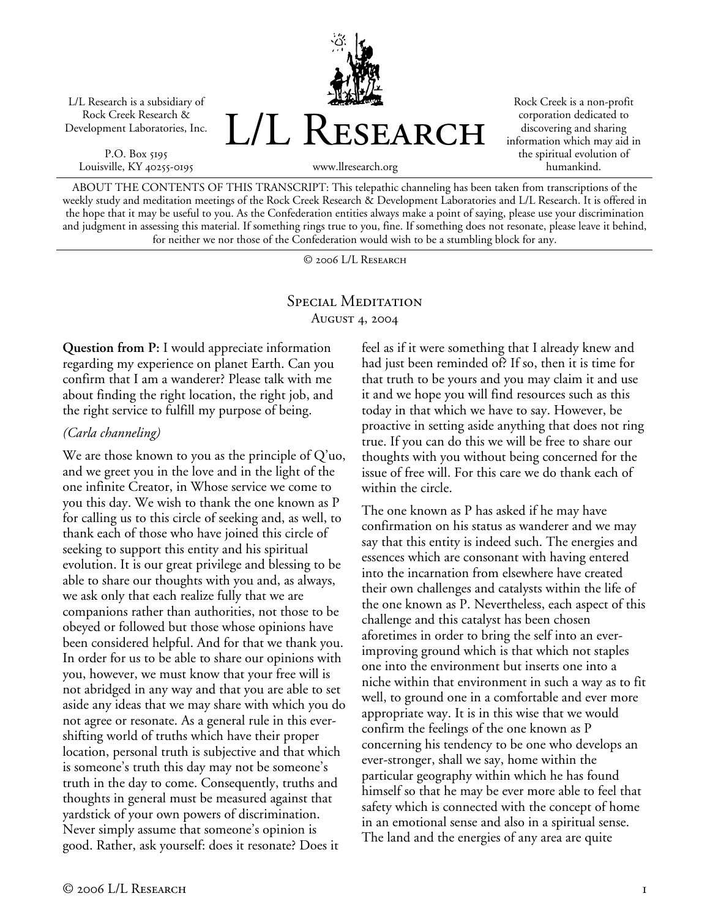L/L Research is a subsidiary of Rock Creek Research & Development Laboratories, Inc.

P.O. Box 5195 Louisville, KY 40255-0195



Rock Creek is a non-profit corporation dedicated to discovering and sharing information which may aid in the spiritual evolution of humankind.

ABOUT THE CONTENTS OF THIS TRANSCRIPT: This telepathic channeling has been taken from transcriptions of the weekly study and meditation meetings of the Rock Creek Research & Development Laboratories and L/L Research. It is offered in the hope that it may be useful to you. As the Confederation entities always make a point of saying, please use your discrimination and judgment in assessing this material. If something rings true to you, fine. If something does not resonate, please leave it behind, for neither we nor those of the Confederation would wish to be a stumbling block for any.

© 2006 L/L Research

## SPECIAL MEDITATION August 4, 2004

**Question from P:** I would appreciate information regarding my experience on planet Earth. Can you confirm that I am a wanderer? Please talk with me about finding the right location, the right job, and the right service to fulfill my purpose of being.

## *(Carla channeling)*

We are those known to you as the principle of Q'uo, and we greet you in the love and in the light of the one infinite Creator, in Whose service we come to you this day. We wish to thank the one known as P for calling us to this circle of seeking and, as well, to thank each of those who have joined this circle of seeking to support this entity and his spiritual evolution. It is our great privilege and blessing to be able to share our thoughts with you and, as always, we ask only that each realize fully that we are companions rather than authorities, not those to be obeyed or followed but those whose opinions have been considered helpful. And for that we thank you. In order for us to be able to share our opinions with you, however, we must know that your free will is not abridged in any way and that you are able to set aside any ideas that we may share with which you do not agree or resonate. As a general rule in this evershifting world of truths which have their proper location, personal truth is subjective and that which is someone's truth this day may not be someone's truth in the day to come. Consequently, truths and thoughts in general must be measured against that yardstick of your own powers of discrimination. Never simply assume that someone's opinion is good. Rather, ask yourself: does it resonate? Does it

feel as if it were something that I already knew and had just been reminded of? If so, then it is time for that truth to be yours and you may claim it and use it and we hope you will find resources such as this today in that which we have to say. However, be proactive in setting aside anything that does not ring true. If you can do this we will be free to share our thoughts with you without being concerned for the issue of free will. For this care we do thank each of within the circle.

The one known as P has asked if he may have confirmation on his status as wanderer and we may say that this entity is indeed such. The energies and essences which are consonant with having entered into the incarnation from elsewhere have created their own challenges and catalysts within the life of the one known as P. Nevertheless, each aspect of this challenge and this catalyst has been chosen aforetimes in order to bring the self into an everimproving ground which is that which not staples one into the environment but inserts one into a niche within that environment in such a way as to fit well, to ground one in a comfortable and ever more appropriate way. It is in this wise that we would confirm the feelings of the one known as P concerning his tendency to be one who develops an ever-stronger, shall we say, home within the particular geography within which he has found himself so that he may be ever more able to feel that safety which is connected with the concept of home in an emotional sense and also in a spiritual sense. The land and the energies of any area are quite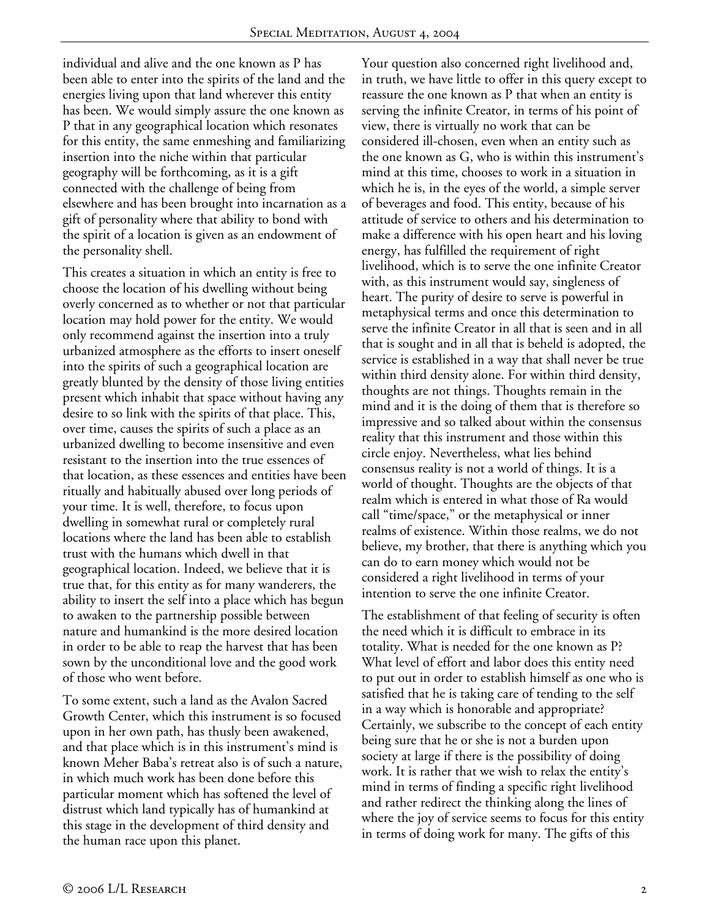individual and alive and the one known as P has been able to enter into the spirits of the land and the energies living upon that land wherever this entity has been. We would simply assure the one known as P that in any geographical location which resonates for this entity, the same enmeshing and familiarizing insertion into the niche within that particular geography will be forthcoming, as it is a gift connected with the challenge of being from elsewhere and has been brought into incarnation as a gift of personality where that ability to bond with the spirit of a location is given as an endowment of the personality shell.

This creates a situation in which an entity is free to choose the location of his dwelling without being overly concerned as to whether or not that particular location may hold power for the entity. We would only recommend against the insertion into a truly urbanized atmosphere as the efforts to insert oneself into the spirits of such a geographical location are greatly blunted by the density of those living entities present which inhabit that space without having any desire to so link with the spirits of that place. This, over time, causes the spirits of such a place as an urbanized dwelling to become insensitive and even resistant to the insertion into the true essences of that location, as these essences and entities have been ritually and habitually abused over long periods of your time. It is well, therefore, to focus upon dwelling in somewhat rural or completely rural locations where the land has been able to establish trust with the humans which dwell in that geographical location. Indeed, we believe that it is true that, for this entity as for many wanderers, the ability to insert the self into a place which has begun to awaken to the partnership possible between nature and humankind is the more desired location in order to be able to reap the harvest that has been sown by the unconditional love and the good work of those who went before.

To some extent, such a land as the Avalon Sacred Growth Center, which this instrument is so focused upon in her own path, has thusly been awakened, and that place which is in this instrument's mind is known Meher Baba's retreat also is of such a nature, in which much work has been done before this particular moment which has softened the level of distrust which land typically has of humankind at this stage in the development of third density and the human race upon this planet.

Your question also concerned right livelihood and, in truth, we have little to offer in this query except to reassure the one known as P that when an entity is serving the infinite Creator, in terms of his point of view, there is virtually no work that can be considered ill-chosen, even when an entity such as the one known as G, who is within this instrument's mind at this time, chooses to work in a situation in which he is, in the eyes of the world, a simple server of beverages and food. This entity, because of his attitude of service to others and his determination to make a difference with his open heart and his loving energy, has fulfilled the requirement of right livelihood, which is to serve the one infinite Creator with, as this instrument would say, singleness of heart. The purity of desire to serve is powerful in metaphysical terms and once this determination to serve the infinite Creator in all that is seen and in all that is sought and in all that is beheld is adopted, the service is established in a way that shall never be true within third density alone. For within third density, thoughts are not things. Thoughts remain in the mind and it is the doing of them that is therefore so impressive and so talked about within the consensus reality that this instrument and those within this circle enjoy. Nevertheless, what lies behind consensus reality is not a world of things. It is a world of thought. Thoughts are the objects of that realm which is entered in what those of Ra would call "time/space," or the metaphysical or inner realms of existence. Within those realms, we do not believe, my brother, that there is anything which you can do to earn money which would not be considered a right livelihood in terms of your intention to serve the one infinite Creator.

The establishment of that feeling of security is often the need which it is difficult to embrace in its totality. What is needed for the one known as P? What level of effort and labor does this entity need to put out in order to establish himself as one who is satisfied that he is taking care of tending to the self in a way which is honorable and appropriate? Certainly, we subscribe to the concept of each entity being sure that he or she is not a burden upon society at large if there is the possibility of doing work. It is rather that we wish to relax the entity's mind in terms of finding a specific right livelihood and rather redirect the thinking along the lines of where the joy of service seems to focus for this entity in terms of doing work for many. The gifts of this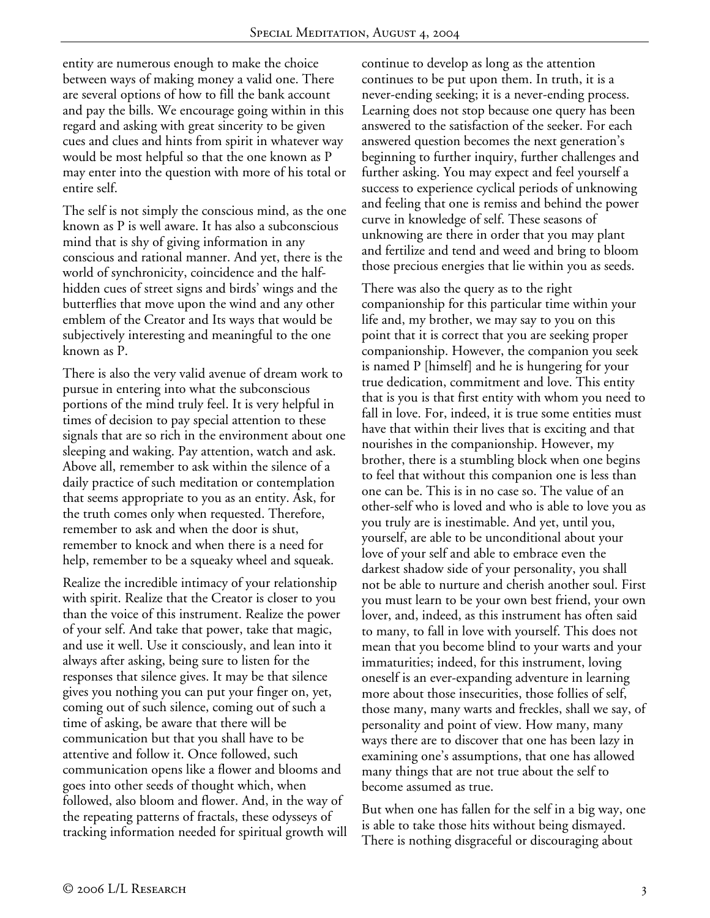entity are numerous enough to make the choice between ways of making money a valid one. There are several options of how to fill the bank account and pay the bills. We encourage going within in this regard and asking with great sincerity to be given cues and clues and hints from spirit in whatever way would be most helpful so that the one known as P may enter into the question with more of his total or entire self.

The self is not simply the conscious mind, as the one known as P is well aware. It has also a subconscious mind that is shy of giving information in any conscious and rational manner. And yet, there is the world of synchronicity, coincidence and the halfhidden cues of street signs and birds' wings and the butterflies that move upon the wind and any other emblem of the Creator and Its ways that would be subjectively interesting and meaningful to the one known as P.

There is also the very valid avenue of dream work to pursue in entering into what the subconscious portions of the mind truly feel. It is very helpful in times of decision to pay special attention to these signals that are so rich in the environment about one sleeping and waking. Pay attention, watch and ask. Above all, remember to ask within the silence of a daily practice of such meditation or contemplation that seems appropriate to you as an entity. Ask, for the truth comes only when requested. Therefore, remember to ask and when the door is shut, remember to knock and when there is a need for help, remember to be a squeaky wheel and squeak.

Realize the incredible intimacy of your relationship with spirit. Realize that the Creator is closer to you than the voice of this instrument. Realize the power of your self. And take that power, take that magic, and use it well. Use it consciously, and lean into it always after asking, being sure to listen for the responses that silence gives. It may be that silence gives you nothing you can put your finger on, yet, coming out of such silence, coming out of such a time of asking, be aware that there will be communication but that you shall have to be attentive and follow it. Once followed, such communication opens like a flower and blooms and goes into other seeds of thought which, when followed, also bloom and flower. And, in the way of the repeating patterns of fractals, these odysseys of tracking information needed for spiritual growth will continue to develop as long as the attention continues to be put upon them. In truth, it is a never-ending seeking; it is a never-ending process. Learning does not stop because one query has been answered to the satisfaction of the seeker. For each answered question becomes the next generation's beginning to further inquiry, further challenges and further asking. You may expect and feel yourself a success to experience cyclical periods of unknowing and feeling that one is remiss and behind the power curve in knowledge of self. These seasons of unknowing are there in order that you may plant and fertilize and tend and weed and bring to bloom those precious energies that lie within you as seeds.

There was also the query as to the right companionship for this particular time within your life and, my brother, we may say to you on this point that it is correct that you are seeking proper companionship. However, the companion you seek is named P [himself] and he is hungering for your true dedication, commitment and love. This entity that is you is that first entity with whom you need to fall in love. For, indeed, it is true some entities must have that within their lives that is exciting and that nourishes in the companionship. However, my brother, there is a stumbling block when one begins to feel that without this companion one is less than one can be. This is in no case so. The value of an other-self who is loved and who is able to love you as you truly are is inestimable. And yet, until you, yourself, are able to be unconditional about your love of your self and able to embrace even the darkest shadow side of your personality, you shall not be able to nurture and cherish another soul. First you must learn to be your own best friend, your own lover, and, indeed, as this instrument has often said to many, to fall in love with yourself. This does not mean that you become blind to your warts and your immaturities; indeed, for this instrument, loving oneself is an ever-expanding adventure in learning more about those insecurities, those follies of self, those many, many warts and freckles, shall we say, of personality and point of view. How many, many ways there are to discover that one has been lazy in examining one's assumptions, that one has allowed many things that are not true about the self to become assumed as true.

But when one has fallen for the self in a big way, one is able to take those hits without being dismayed. There is nothing disgraceful or discouraging about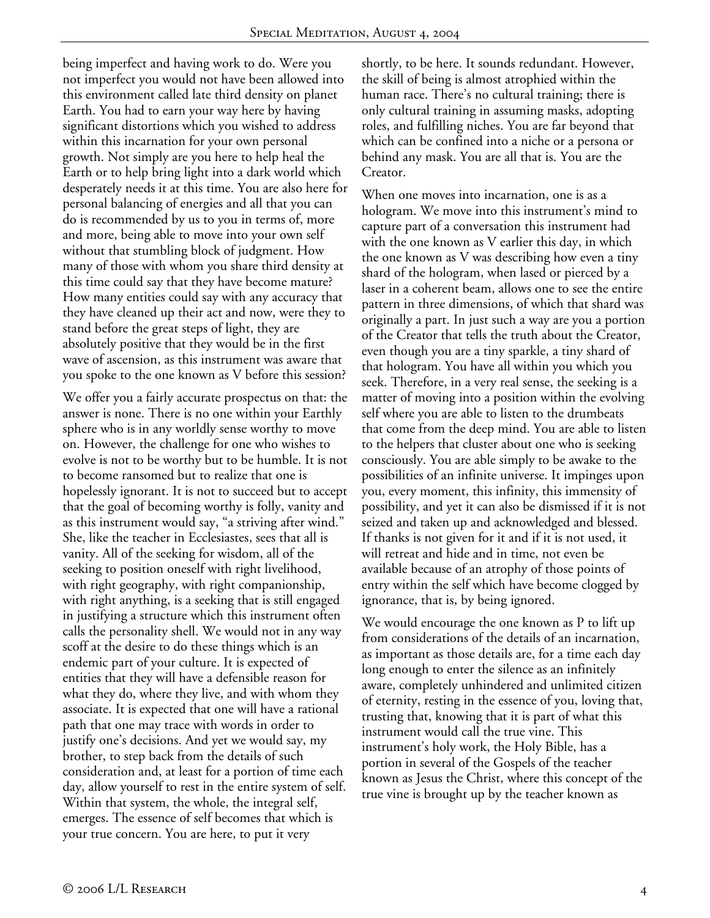being imperfect and having work to do. Were you not imperfect you would not have been allowed into this environment called late third density on planet Earth. You had to earn your way here by having significant distortions which you wished to address within this incarnation for your own personal growth. Not simply are you here to help heal the Earth or to help bring light into a dark world which desperately needs it at this time. You are also here for personal balancing of energies and all that you can do is recommended by us to you in terms of, more and more, being able to move into your own self without that stumbling block of judgment. How many of those with whom you share third density at this time could say that they have become mature? How many entities could say with any accuracy that they have cleaned up their act and now, were they to stand before the great steps of light, they are absolutely positive that they would be in the first wave of ascension, as this instrument was aware that you spoke to the one known as V before this session?

We offer you a fairly accurate prospectus on that: the answer is none. There is no one within your Earthly sphere who is in any worldly sense worthy to move on. However, the challenge for one who wishes to evolve is not to be worthy but to be humble. It is not to become ransomed but to realize that one is hopelessly ignorant. It is not to succeed but to accept that the goal of becoming worthy is folly, vanity and as this instrument would say, "a striving after wind." She, like the teacher in Ecclesiastes, sees that all is vanity. All of the seeking for wisdom, all of the seeking to position oneself with right livelihood, with right geography, with right companionship, with right anything, is a seeking that is still engaged in justifying a structure which this instrument often calls the personality shell. We would not in any way scoff at the desire to do these things which is an endemic part of your culture. It is expected of entities that they will have a defensible reason for what they do, where they live, and with whom they associate. It is expected that one will have a rational path that one may trace with words in order to justify one's decisions. And yet we would say, my brother, to step back from the details of such consideration and, at least for a portion of time each day, allow yourself to rest in the entire system of self. Within that system, the whole, the integral self, emerges. The essence of self becomes that which is your true concern. You are here, to put it very

shortly, to be here. It sounds redundant. However, the skill of being is almost atrophied within the human race. There's no cultural training; there is only cultural training in assuming masks, adopting roles, and fulfilling niches. You are far beyond that which can be confined into a niche or a persona or behind any mask. You are all that is. You are the Creator.

When one moves into incarnation, one is as a hologram. We move into this instrument's mind to capture part of a conversation this instrument had with the one known as V earlier this day, in which the one known as V was describing how even a tiny shard of the hologram, when lased or pierced by a laser in a coherent beam, allows one to see the entire pattern in three dimensions, of which that shard was originally a part. In just such a way are you a portion of the Creator that tells the truth about the Creator, even though you are a tiny sparkle, a tiny shard of that hologram. You have all within you which you seek. Therefore, in a very real sense, the seeking is a matter of moving into a position within the evolving self where you are able to listen to the drumbeats that come from the deep mind. You are able to listen to the helpers that cluster about one who is seeking consciously. You are able simply to be awake to the possibilities of an infinite universe. It impinges upon you, every moment, this infinity, this immensity of possibility, and yet it can also be dismissed if it is not seized and taken up and acknowledged and blessed. If thanks is not given for it and if it is not used, it will retreat and hide and in time, not even be available because of an atrophy of those points of entry within the self which have become clogged by ignorance, that is, by being ignored.

We would encourage the one known as P to lift up from considerations of the details of an incarnation, as important as those details are, for a time each day long enough to enter the silence as an infinitely aware, completely unhindered and unlimited citizen of eternity, resting in the essence of you, loving that, trusting that, knowing that it is part of what this instrument would call the true vine. This instrument's holy work, the Holy Bible, has a portion in several of the Gospels of the teacher known as Jesus the Christ, where this concept of the true vine is brought up by the teacher known as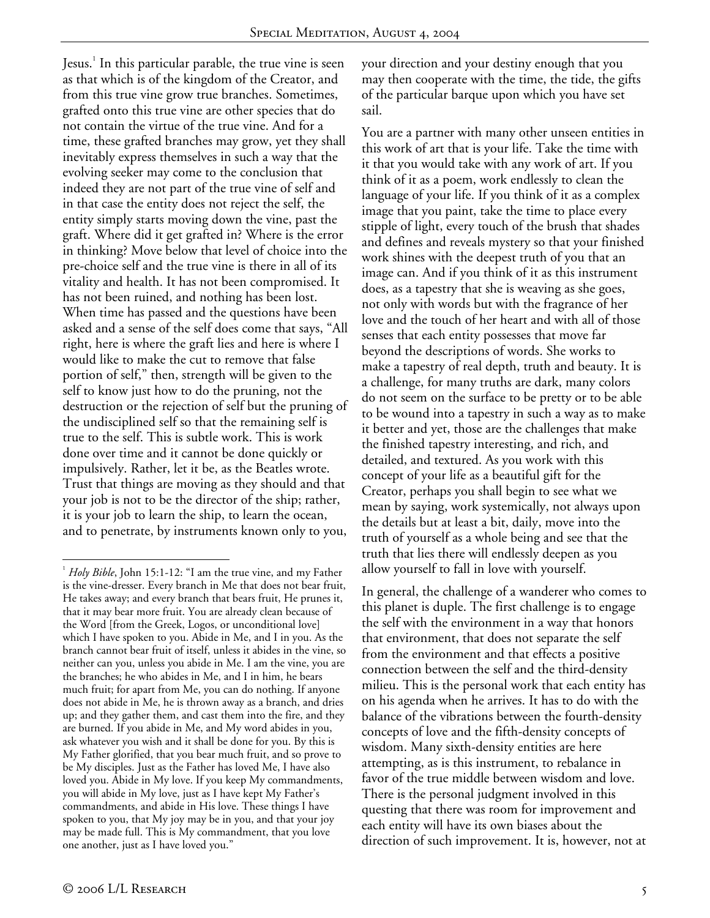Jesus.<sup>1</sup> In this particular parable, the true vine is seen as that which is of the kingdom of the Creator, and from this true vine grow true branches. Sometimes, grafted onto this true vine are other species that do not contain the virtue of the true vine. And for a time, these grafted branches may grow, yet they shall inevitably express themselves in such a way that the evolving seeker may come to the conclusion that indeed they are not part of the true vine of self and in that case the entity does not reject the self, the entity simply starts moving down the vine, past the graft. Where did it get grafted in? Where is the error in thinking? Move below that level of choice into the pre-choice self and the true vine is there in all of its vitality and health. It has not been compromised. It has not been ruined, and nothing has been lost. When time has passed and the questions have been asked and a sense of the self does come that says, "All right, here is where the graft lies and here is where I would like to make the cut to remove that false portion of self," then, strength will be given to the self to know just how to do the pruning, not the destruction or the rejection of self but the pruning of the undisciplined self so that the remaining self is true to the self. This is subtle work. This is work done over time and it cannot be done quickly or impulsively. Rather, let it be, as the Beatles wrote. Trust that things are moving as they should and that your job is not to be the director of the ship; rather, it is your job to learn the ship, to learn the ocean, and to penetrate, by instruments known only to you,

your direction and your destiny enough that you may then cooperate with the time, the tide, the gifts of the particular barque upon which you have set sail.

You are a partner with many other unseen entities in this work of art that is your life. Take the time with it that you would take with any work of art. If you think of it as a poem, work endlessly to clean the language of your life. If you think of it as a complex image that you paint, take the time to place every stipple of light, every touch of the brush that shades and defines and reveals mystery so that your finished work shines with the deepest truth of you that an image can. And if you think of it as this instrument does, as a tapestry that she is weaving as she goes, not only with words but with the fragrance of her love and the touch of her heart and with all of those senses that each entity possesses that move far beyond the descriptions of words. She works to make a tapestry of real depth, truth and beauty. It is a challenge, for many truths are dark, many colors do not seem on the surface to be pretty or to be able to be wound into a tapestry in such a way as to make it better and yet, those are the challenges that make the finished tapestry interesting, and rich, and detailed, and textured. As you work with this concept of your life as a beautiful gift for the Creator, perhaps you shall begin to see what we mean by saying, work systemically, not always upon the details but at least a bit, daily, move into the truth of yourself as a whole being and see that the truth that lies there will endlessly deepen as you allow yourself to fall in love with yourself.

In general, the challenge of a wanderer who comes to this planet is duple. The first challenge is to engage the self with the environment in a way that honors that environment, that does not separate the self from the environment and that effects a positive connection between the self and the third-density milieu. This is the personal work that each entity has on his agenda when he arrives. It has to do with the balance of the vibrations between the fourth-density concepts of love and the fifth-density concepts of wisdom. Many sixth-density entities are here attempting, as is this instrument, to rebalance in favor of the true middle between wisdom and love. There is the personal judgment involved in this questing that there was room for improvement and each entity will have its own biases about the direction of such improvement. It is, however, not at

 $\overline{a}$ 

<sup>&</sup>lt;sup>1</sup> Holy Bible, John 15:1-12: "I am the true vine, and my Father is the vine-dresser. Every branch in Me that does not bear fruit, He takes away; and every branch that bears fruit, He prunes it, that it may bear more fruit. You are already clean because of the Word [from the Greek, Logos, or unconditional love] which I have spoken to you. Abide in Me, and I in you. As the branch cannot bear fruit of itself, unless it abides in the vine, so neither can you, unless you abide in Me. I am the vine, you are the branches; he who abides in Me, and I in him, he bears much fruit; for apart from Me, you can do nothing. If anyone does not abide in Me, he is thrown away as a branch, and dries up; and they gather them, and cast them into the fire, and they are burned. If you abide in Me, and My word abides in you, ask whatever you wish and it shall be done for you. By this is My Father glorified, that you bear much fruit, and so prove to be My disciples. Just as the Father has loved Me, I have also loved you. Abide in My love. If you keep My commandments, you will abide in My love, just as I have kept My Father's commandments, and abide in His love. These things I have spoken to you, that My joy may be in you, and that your joy may be made full. This is My commandment, that you love one another, just as I have loved you."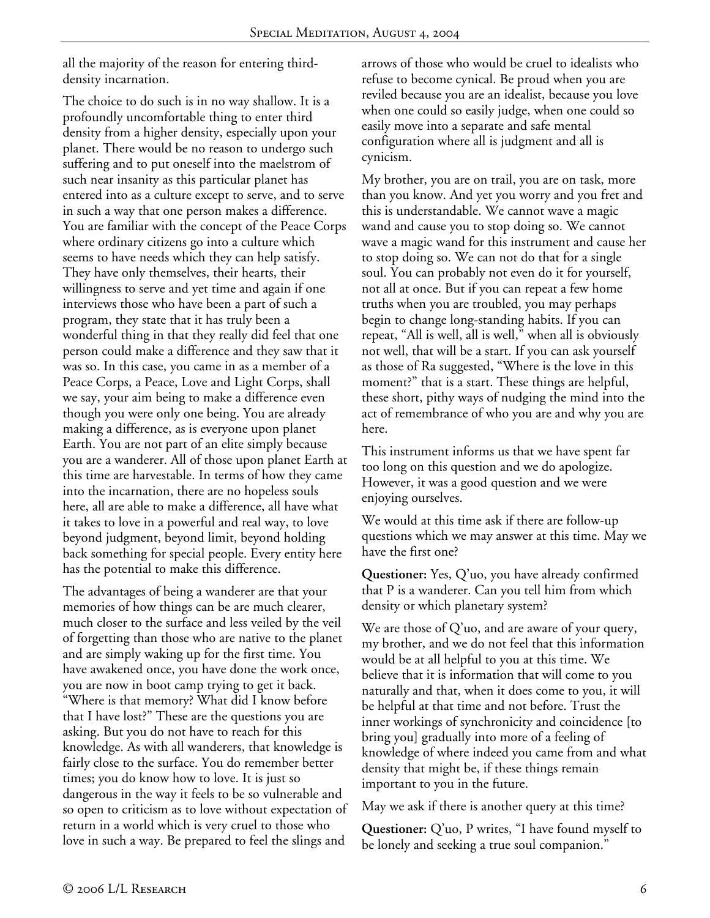all the majority of the reason for entering thirddensity incarnation.

The choice to do such is in no way shallow. It is a profoundly uncomfortable thing to enter third density from a higher density, especially upon your planet. There would be no reason to undergo such suffering and to put oneself into the maelstrom of such near insanity as this particular planet has entered into as a culture except to serve, and to serve in such a way that one person makes a difference. You are familiar with the concept of the Peace Corps where ordinary citizens go into a culture which seems to have needs which they can help satisfy. They have only themselves, their hearts, their willingness to serve and yet time and again if one interviews those who have been a part of such a program, they state that it has truly been a wonderful thing in that they really did feel that one person could make a difference and they saw that it was so. In this case, you came in as a member of a Peace Corps, a Peace, Love and Light Corps, shall we say, your aim being to make a difference even though you were only one being. You are already making a difference, as is everyone upon planet Earth. You are not part of an elite simply because you are a wanderer. All of those upon planet Earth at this time are harvestable. In terms of how they came into the incarnation, there are no hopeless souls here, all are able to make a difference, all have what it takes to love in a powerful and real way, to love beyond judgment, beyond limit, beyond holding back something for special people. Every entity here has the potential to make this difference.

The advantages of being a wanderer are that your memories of how things can be are much clearer, much closer to the surface and less veiled by the veil of forgetting than those who are native to the planet and are simply waking up for the first time. You have awakened once, you have done the work once, you are now in boot camp trying to get it back. "Where is that memory? What did I know before that I have lost?" These are the questions you are asking. But you do not have to reach for this knowledge. As with all wanderers, that knowledge is fairly close to the surface. You do remember better times; you do know how to love. It is just so dangerous in the way it feels to be so vulnerable and so open to criticism as to love without expectation of return in a world which is very cruel to those who love in such a way. Be prepared to feel the slings and

arrows of those who would be cruel to idealists who refuse to become cynical. Be proud when you are reviled because you are an idealist, because you love when one could so easily judge, when one could so easily move into a separate and safe mental configuration where all is judgment and all is cynicism.

My brother, you are on trail, you are on task, more than you know. And yet you worry and you fret and this is understandable. We cannot wave a magic wand and cause you to stop doing so. We cannot wave a magic wand for this instrument and cause her to stop doing so. We can not do that for a single soul. You can probably not even do it for yourself, not all at once. But if you can repeat a few home truths when you are troubled, you may perhaps begin to change long-standing habits. If you can repeat, "All is well, all is well," when all is obviously not well, that will be a start. If you can ask yourself as those of Ra suggested, "Where is the love in this moment?" that is a start. These things are helpful, these short, pithy ways of nudging the mind into the act of remembrance of who you are and why you are here.

This instrument informs us that we have spent far too long on this question and we do apologize. However, it was a good question and we were enjoying ourselves.

We would at this time ask if there are follow-up questions which we may answer at this time. May we have the first one?

**Questioner:** Yes, Q'uo, you have already confirmed that P is a wanderer. Can you tell him from which density or which planetary system?

We are those of Q'uo, and are aware of your query, my brother, and we do not feel that this information would be at all helpful to you at this time. We believe that it is information that will come to you naturally and that, when it does come to you, it will be helpful at that time and not before. Trust the inner workings of synchronicity and coincidence [to bring you] gradually into more of a feeling of knowledge of where indeed you came from and what density that might be, if these things remain important to you in the future.

May we ask if there is another query at this time?

**Questioner:** Q'uo, P writes, "I have found myself to be lonely and seeking a true soul companion."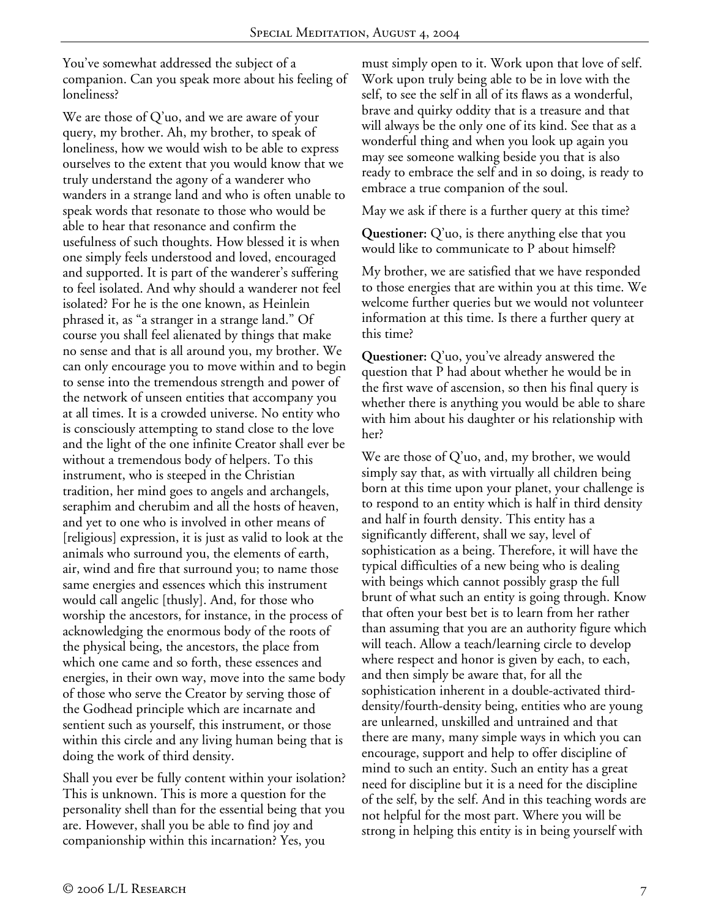You've somewhat addressed the subject of a companion. Can you speak more about his feeling of loneliness?

We are those of Q'uo, and we are aware of your query, my brother. Ah, my brother, to speak of loneliness, how we would wish to be able to express ourselves to the extent that you would know that we truly understand the agony of a wanderer who wanders in a strange land and who is often unable to speak words that resonate to those who would be able to hear that resonance and confirm the usefulness of such thoughts. How blessed it is when one simply feels understood and loved, encouraged and supported. It is part of the wanderer's suffering to feel isolated. And why should a wanderer not feel isolated? For he is the one known, as Heinlein phrased it, as "a stranger in a strange land." Of course you shall feel alienated by things that make no sense and that is all around you, my brother. We can only encourage you to move within and to begin to sense into the tremendous strength and power of the network of unseen entities that accompany you at all times. It is a crowded universe. No entity who is consciously attempting to stand close to the love and the light of the one infinite Creator shall ever be without a tremendous body of helpers. To this instrument, who is steeped in the Christian tradition, her mind goes to angels and archangels, seraphim and cherubim and all the hosts of heaven, and yet to one who is involved in other means of [religious] expression, it is just as valid to look at the animals who surround you, the elements of earth, air, wind and fire that surround you; to name those same energies and essences which this instrument would call angelic [thusly]. And, for those who worship the ancestors, for instance, in the process of acknowledging the enormous body of the roots of the physical being, the ancestors, the place from which one came and so forth, these essences and energies, in their own way, move into the same body of those who serve the Creator by serving those of the Godhead principle which are incarnate and sentient such as yourself, this instrument, or those within this circle and any living human being that is doing the work of third density.

Shall you ever be fully content within your isolation? This is unknown. This is more a question for the personality shell than for the essential being that you are. However, shall you be able to find joy and companionship within this incarnation? Yes, you

must simply open to it. Work upon that love of self. Work upon truly being able to be in love with the self, to see the self in all of its flaws as a wonderful, brave and quirky oddity that is a treasure and that will always be the only one of its kind. See that as a wonderful thing and when you look up again you may see someone walking beside you that is also ready to embrace the self and in so doing, is ready to embrace a true companion of the soul.

May we ask if there is a further query at this time?

**Questioner:** Q'uo, is there anything else that you would like to communicate to P about himself?

My brother, we are satisfied that we have responded to those energies that are within you at this time. We welcome further queries but we would not volunteer information at this time. Is there a further query at this time?

**Questioner:** Q'uo, you've already answered the question that P had about whether he would be in the first wave of ascension, so then his final query is whether there is anything you would be able to share with him about his daughter or his relationship with her?

We are those of Q'uo, and, my brother, we would simply say that, as with virtually all children being born at this time upon your planet, your challenge is to respond to an entity which is half in third density and half in fourth density. This entity has a significantly different, shall we say, level of sophistication as a being. Therefore, it will have the typical difficulties of a new being who is dealing with beings which cannot possibly grasp the full brunt of what such an entity is going through. Know that often your best bet is to learn from her rather than assuming that you are an authority figure which will teach. Allow a teach/learning circle to develop where respect and honor is given by each, to each, and then simply be aware that, for all the sophistication inherent in a double-activated thirddensity/fourth-density being, entities who are young are unlearned, unskilled and untrained and that there are many, many simple ways in which you can encourage, support and help to offer discipline of mind to such an entity. Such an entity has a great need for discipline but it is a need for the discipline of the self, by the self. And in this teaching words are not helpful for the most part. Where you will be strong in helping this entity is in being yourself with